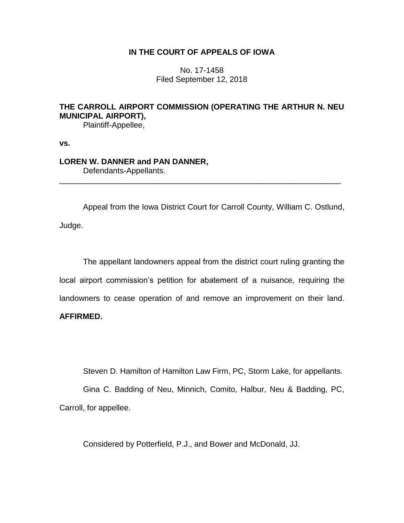## **IN THE COURT OF APPEALS OF IOWA**

No. 17-1458 Filed September 12, 2018

# **THE CARROLL AIRPORT COMMISSION (OPERATING THE ARTHUR N. NEU MUNICIPAL AIRPORT),**

Plaintiff-Appellee,

**vs.**

### **LOREN W. DANNER and PAN DANNER,**

Defendants-Appellants.

Appeal from the Iowa District Court for Carroll County, William C. Ostlund, Judge.

\_\_\_\_\_\_\_\_\_\_\_\_\_\_\_\_\_\_\_\_\_\_\_\_\_\_\_\_\_\_\_\_\_\_\_\_\_\_\_\_\_\_\_\_\_\_\_\_\_\_\_\_\_\_\_\_\_\_\_\_\_\_\_\_

The appellant landowners appeal from the district court ruling granting the local airport commission's petition for abatement of a nuisance, requiring the landowners to cease operation of and remove an improvement on their land.

## **AFFIRMED.**

Steven D. Hamilton of Hamilton Law Firm, PC, Storm Lake, for appellants.

Gina C. Badding of Neu, Minnich, Comito, Halbur, Neu & Badding, PC, Carroll, for appellee.

Considered by Potterfield, P.J., and Bower and McDonald, JJ.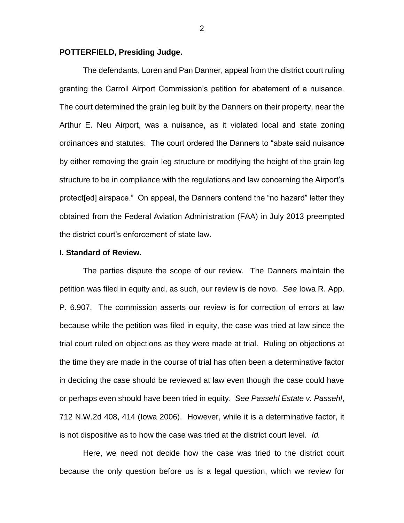#### **POTTERFIELD, Presiding Judge.**

The defendants, Loren and Pan Danner, appeal from the district court ruling granting the Carroll Airport Commission's petition for abatement of a nuisance. The court determined the grain leg built by the Danners on their property, near the Arthur E. Neu Airport, was a nuisance, as it violated local and state zoning ordinances and statutes. The court ordered the Danners to "abate said nuisance by either removing the grain leg structure or modifying the height of the grain leg structure to be in compliance with the regulations and law concerning the Airport's protect[ed] airspace." On appeal, the Danners contend the "no hazard" letter they obtained from the Federal Aviation Administration (FAA) in July 2013 preempted the district court's enforcement of state law.

#### **I. Standard of Review.**

The parties dispute the scope of our review. The Danners maintain the petition was filed in equity and, as such, our review is de novo. *See* Iowa R. App. P. 6.907. The commission asserts our review is for correction of errors at law because while the petition was filed in equity, the case was tried at law since the trial court ruled on objections as they were made at trial. Ruling on objections at the time they are made in the course of trial has often been a determinative factor in deciding the case should be reviewed at law even though the case could have or perhaps even should have been tried in equity. *See Passehl Estate v. Passehl*, 712 N.W.2d 408, 414 (Iowa 2006). However, while it is a determinative factor, it is not dispositive as to how the case was tried at the district court level. *Id.*

Here, we need not decide how the case was tried to the district court because the only question before us is a legal question, which we review for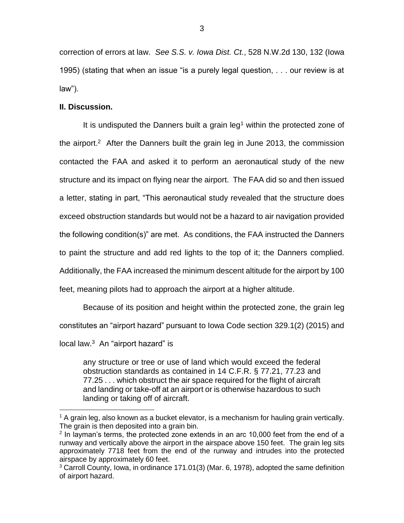correction of errors at law. *See S.S. v. Iowa Dist. Ct.*, 528 N.W.2d 130, 132 (Iowa 1995) (stating that when an issue "is a purely legal question, . . . our review is at law").

### **II. Discussion.**

 $\overline{a}$ 

It is undisputed the Danners built a grain  $leg<sup>1</sup>$  within the protected zone of the airport.<sup>2</sup> After the Danners built the grain leg in June 2013, the commission contacted the FAA and asked it to perform an aeronautical study of the new structure and its impact on flying near the airport. The FAA did so and then issued a letter, stating in part, "This aeronautical study revealed that the structure does exceed obstruction standards but would not be a hazard to air navigation provided the following condition(s)" are met. As conditions, the FAA instructed the Danners to paint the structure and add red lights to the top of it; the Danners complied. Additionally, the FAA increased the minimum descent altitude for the airport by 100 feet, meaning pilots had to approach the airport at a higher altitude.

Because of its position and height within the protected zone, the grain leg constitutes an "airport hazard" pursuant to Iowa Code section 329.1(2) (2015) and local law.<sup>3</sup> An "airport hazard" is

any structure or tree or use of land which would exceed the federal obstruction standards as contained in 14 C.F.R. § 77.21, 77.23 and 77.25 . . . which obstruct the air space required for the flight of aircraft and landing or take-off at an airport or is otherwise hazardous to such landing or taking off of aircraft.

 $1$  A grain leg, also known as a bucket elevator, is a mechanism for hauling grain vertically. The grain is then deposited into a grain bin.

 $2$  In layman's terms, the protected zone extends in an arc 10,000 feet from the end of a runway and vertically above the airport in the airspace above 150 feet. The grain leg sits approximately 7718 feet from the end of the runway and intrudes into the protected airspace by approximately 60 feet.

<sup>&</sup>lt;sup>3</sup> Carroll County, Iowa, in ordinance 171.01(3) (Mar. 6, 1978), adopted the same definition of airport hazard.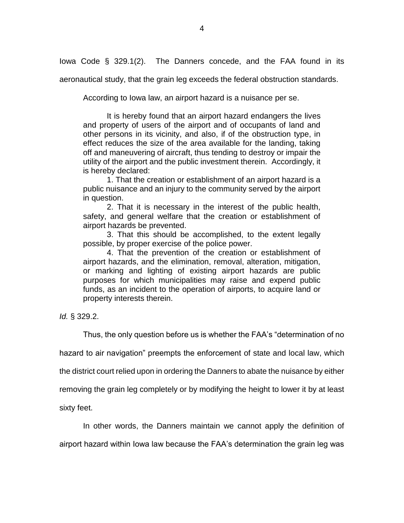Iowa Code § 329.1(2). The Danners concede, and the FAA found in its

aeronautical study, that the grain leg exceeds the federal obstruction standards.

According to Iowa law, an airport hazard is a nuisance per se.

It is hereby found that an airport hazard endangers the lives and property of users of the airport and of occupants of land and other persons in its vicinity, and also, if of the obstruction type, in effect reduces the size of the area available for the landing, taking off and maneuvering of aircraft, thus tending to destroy or impair the utility of the airport and the public investment therein. Accordingly, it is hereby declared:

1. That the creation or establishment of an airport hazard is a public nuisance and an injury to the community served by the airport in question.

2. That it is necessary in the interest of the public health, safety, and general welfare that the creation or establishment of airport hazards be prevented.

3. That this should be accomplished, to the extent legally possible, by proper exercise of the police power.

4. That the prevention of the creation or establishment of airport hazards, and the elimination, removal, alteration, mitigation, or marking and lighting of existing airport hazards are public purposes for which municipalities may raise and expend public funds, as an incident to the operation of airports, to acquire land or property interests therein.

*Id.* § 329.2.

Thus, the only question before us is whether the FAA's "determination of no

hazard to air navigation" preempts the enforcement of state and local law, which

the district court relied upon in ordering the Danners to abate the nuisance by either

removing the grain leg completely or by modifying the height to lower it by at least

sixty feet.

In other words, the Danners maintain we cannot apply the definition of

airport hazard within Iowa law because the FAA's determination the grain leg was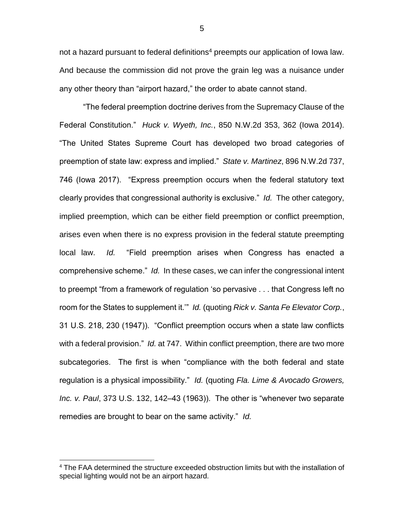not a hazard pursuant to federal definitions<sup>4</sup> preempts our application of Iowa law. And because the commission did not prove the grain leg was a nuisance under any other theory than "airport hazard," the order to abate cannot stand.

"The federal preemption doctrine derives from the Supremacy Clause of the Federal Constitution." *Huck v. Wyeth, Inc.*, 850 N.W.2d 353, 362 (Iowa 2014). "The United States Supreme Court has developed two broad categories of preemption of state law: express and implied." *State v. Martinez*, 896 N.W.2d 737, 746 (Iowa 2017). "Express preemption occurs when the federal statutory text clearly provides that congressional authority is exclusive." *Id.* The other category, implied preemption, which can be either field preemption or conflict preemption, arises even when there is no express provision in the federal statute preempting local law. *Id.* "Field preemption arises when Congress has enacted a comprehensive scheme." *Id.* In these cases, we can infer the congressional intent to preempt "from a framework of regulation 'so pervasive . . . that Congress left no room for the States to supplement it.'" *Id.* (quoting *Rick v. Santa Fe Elevator Corp.*, 31 U.S. 218, 230 (1947)). "Conflict preemption occurs when a state law conflicts with a federal provision." *Id.* at 747. Within conflict preemption, there are two more subcategories. The first is when "compliance with the both federal and state regulation is a physical impossibility." *Id.* (quoting *Fla. Lime & Avocado Growers, Inc. v. Paul*, 373 U.S. 132, 142–43 (1963)). The other is "whenever two separate remedies are brought to bear on the same activity." *Id.* 

 $\overline{a}$ 

<sup>&</sup>lt;sup>4</sup> The FAA determined the structure exceeded obstruction limits but with the installation of special lighting would not be an airport hazard.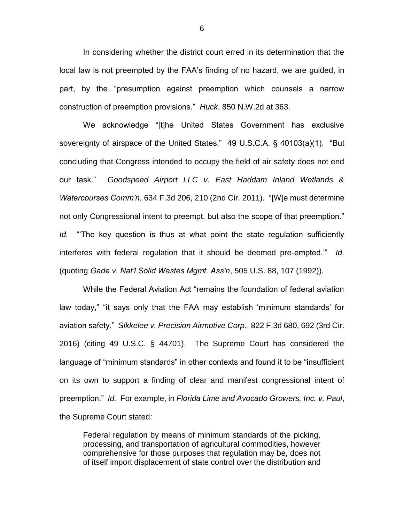In considering whether the district court erred in its determination that the local law is not preempted by the FAA's finding of no hazard, we are guided, in part, by the "presumption against preemption which counsels a narrow construction of preemption provisions." *Huck*, 850 N.W.2d at 363.

We acknowledge "[t]he United States Government has exclusive sovereignty of airspace of the United States." 49 U.S.C.A. § 40103(a)(1). "But concluding that Congress intended to occupy the field of air safety does not end our task." *Goodspeed Airport LLC v. East Haddam Inland Wetlands & Watercourses Comm'n*, 634 F.3d 206, 210 (2nd Cir. 2011). "[W]e must determine not only Congressional intent to preempt, but also the scope of that preemption." *Id.* "'The key question is thus at what point the state regulation sufficiently interferes with federal regulation that it should be deemed pre-empted.'" *Id.*  (quoting *Gade v. Nat'l Solid Wastes Mgmt. Ass'n*, 505 U.S. 88, 107 (1992)).

While the Federal Aviation Act "remains the foundation of federal aviation law today," "it says only that the FAA may establish 'minimum standards' for aviation safety." *Sikkelee v. Precision Airmotive Corp.*, 822 F.3d 680, 692 (3rd Cir. 2016) (citing 49 U.S.C. § 44701). The Supreme Court has considered the language of "minimum standards" in other contexts and found it to be "insufficient on its own to support a finding of clear and manifest congressional intent of preemption." *Id.* For example, in *Florida Lime and Avocado Growers, Inc. v. Paul*, the Supreme Court stated:

Federal regulation by means of minimum standards of the picking, processing, and transportation of agricultural commodities, however comprehensive for those purposes that regulation may be, does not of itself import displacement of state control over the distribution and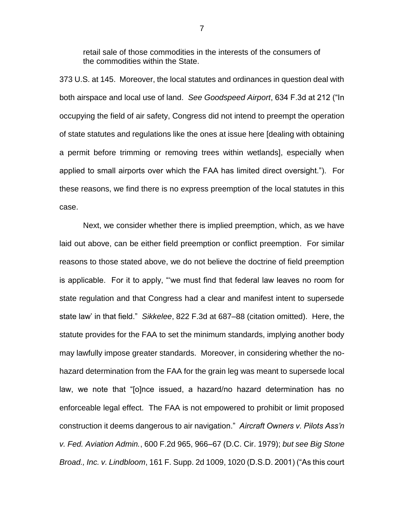retail sale of those commodities in the interests of the consumers of the commodities within the State.

373 U.S. at 145. Moreover, the local statutes and ordinances in question deal with both airspace and local use of land. *See Goodspeed Airport*, 634 F.3d at 212 ("In occupying the field of air safety, Congress did not intend to preempt the operation of state statutes and regulations like the ones at issue here [dealing with obtaining a permit before trimming or removing trees within wetlands], especially when applied to small airports over which the FAA has limited direct oversight."). For these reasons, we find there is no express preemption of the local statutes in this case.

Next, we consider whether there is implied preemption, which, as we have laid out above, can be either field preemption or conflict preemption. For similar reasons to those stated above, we do not believe the doctrine of field preemption is applicable. For it to apply, "'we must find that federal law leaves no room for state regulation and that Congress had a clear and manifest intent to supersede state law' in that field." *Sikkelee*, 822 F.3d at 687–88 (citation omitted). Here, the statute provides for the FAA to set the minimum standards, implying another body may lawfully impose greater standards. Moreover, in considering whether the nohazard determination from the FAA for the grain leg was meant to supersede local law, we note that "[o]nce issued, a hazard/no hazard determination has no enforceable legal effect. The FAA is not empowered to prohibit or limit proposed construction it deems dangerous to air navigation." *Aircraft Owners v. Pilots Ass'n v. Fed. Aviation Admin.*, 600 F.2d 965, 966–67 (D.C. Cir. 1979); *but see Big Stone Broad., Inc. v. Lindbloom*, 161 F. Supp. 2d 1009, 1020 (D.S.D. 2001) ("As this court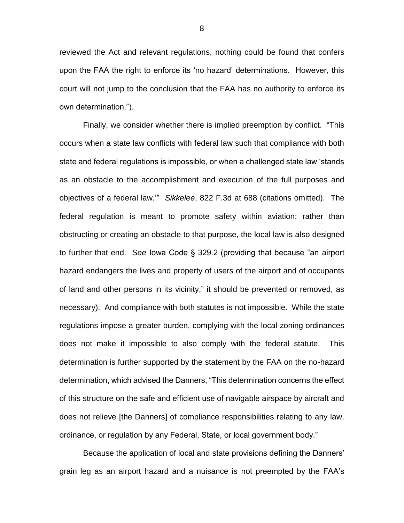reviewed the Act and relevant regulations, nothing could be found that confers upon the FAA the right to enforce its 'no hazard' determinations. However, this court will not jump to the conclusion that the FAA has no authority to enforce its own determination.").

Finally, we consider whether there is implied preemption by conflict. "This occurs when a state law conflicts with federal law such that compliance with both state and federal regulations is impossible, or when a challenged state law 'stands as an obstacle to the accomplishment and execution of the full purposes and objectives of a federal law.'" *Sikkelee*, 822 F.3d at 688 (citations omitted). The federal regulation is meant to promote safety within aviation; rather than obstructing or creating an obstacle to that purpose, the local law is also designed to further that end. *See* Iowa Code § 329.2 (providing that because "an airport hazard endangers the lives and property of users of the airport and of occupants of land and other persons in its vicinity," it should be prevented or removed, as necessary). And compliance with both statutes is not impossible. While the state regulations impose a greater burden, complying with the local zoning ordinances does not make it impossible to also comply with the federal statute. This determination is further supported by the statement by the FAA on the no-hazard determination, which advised the Danners, "This determination concerns the effect of this structure on the safe and efficient use of navigable airspace by aircraft and does not relieve [the Danners] of compliance responsibilities relating to any law, ordinance, or regulation by any Federal, State, or local government body."

Because the application of local and state provisions defining the Danners' grain leg as an airport hazard and a nuisance is not preempted by the FAA's